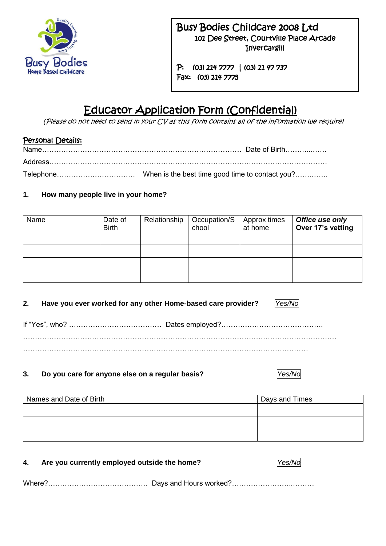

# Busy Bodies Childcare 2008 Ltd 101 Dee Street, Courtville Place Arcade **Invercargill**

 P: (03) 214 7777 | (03) 21 47 737 Fax: (03) 214 7775

# Educator Application Form (Confidential)

*(*Please do not need to send in your CV as this form contains all of the information we require)

## Personal Details:

## **1. How many people live in your home?**

| Name | Date of<br><b>Birth</b> | Relationship | Occupation/S<br>chool | Approx times<br>at home | Office use only<br>Over 17's vetting |
|------|-------------------------|--------------|-----------------------|-------------------------|--------------------------------------|
|      |                         |              |                       |                         |                                      |
|      |                         |              |                       |                         |                                      |
|      |                         |              |                       |                         |                                      |
|      |                         |              |                       |                         |                                      |

#### **2. Have you ever worked for any other Home-based care provider?** *Yes/No*

If "Yes", who? ………………………………… Dates employed?……………………………………. …………………………………………………………………………………………………………………… …………………………………………………………………………………………………………

**3. Do you care for anyone else on a regular basis?** *Yes/No*

Names and Date of Birth Names and Date of Birth Days and Times

| 4. | Are you currently employed outside the home? | Yes/No |
|----|----------------------------------------------|--------|
|    |                                              |        |

Where?…………………………………… Days and Hours worked?……………………..………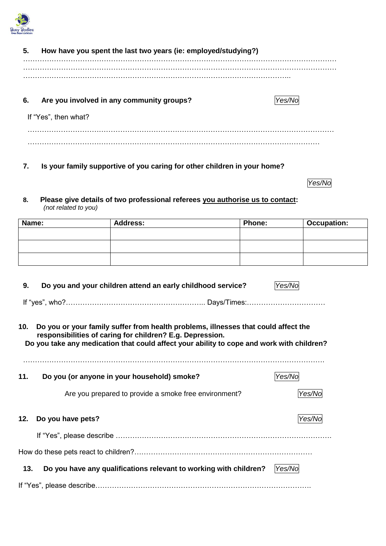

| 5. | How have you spent the last two years (ie: employed/studying?) |       |
|----|----------------------------------------------------------------|-------|
|    |                                                                |       |
| 6. | Are you involved in any community groups?                      | /es/l |
|    | If "Yes", then what?                                           |       |

**7. Is your family supportive of you caring for other children in your home?**  $\overline{z}$  $\mathcal{L}$ 

*Yes/No*

**8. Please give details of two professional referees you authorise us to contact:** *(not related to you)*  $\sim$  $\mathbf{C}$ .

| Name: | <b>Address:</b> | Phone: | <b>Occupation:</b> |
|-------|-----------------|--------|--------------------|
|       |                 |        |                    |
|       |                 |        |                    |
|       |                 |        |                    |
|       |                 |        |                    |

| 9.  | Do you and your children attend an early childhood service?                                                                                                                                                                                  | Yes/N  |
|-----|----------------------------------------------------------------------------------------------------------------------------------------------------------------------------------------------------------------------------------------------|--------|
|     |                                                                                                                                                                                                                                              |        |
| 10. | Do you or your family suffer from health problems, illnesses that could affect the<br>responsibilities of caring for children? E.g. Depression.<br>Do you take any medication that could affect your ability to cope and work with children? |        |
| 11. | Do you (or anyone in your household) smoke?                                                                                                                                                                                                  | Yes/No |
|     | Are you prepared to provide a smoke free environment?                                                                                                                                                                                        | Yes/l  |
| 12. | Do you have pets?                                                                                                                                                                                                                            | Yes/No |
|     |                                                                                                                                                                                                                                              |        |
|     |                                                                                                                                                                                                                                              |        |
| 13. | Do you have any qualifications relevant to working with children?                                                                                                                                                                            | Yes/No |

If "Yes", please describe……………………………………………………………………………….